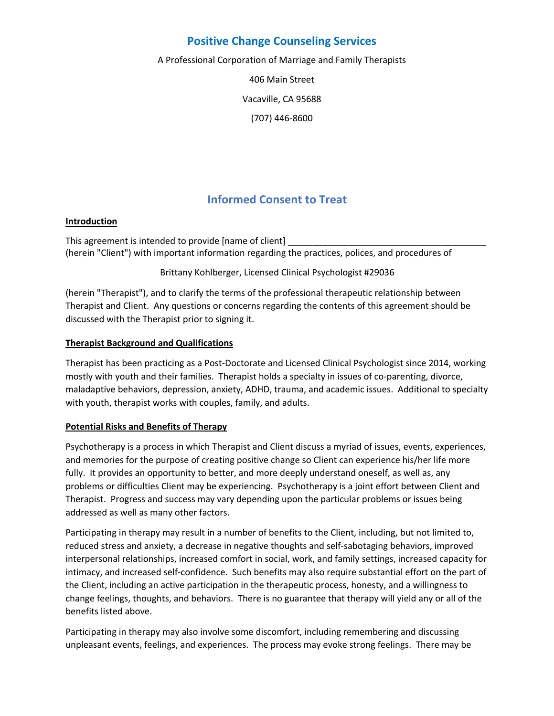## **Positive Change Counseling Services**

A Professional Corporation of Marriage and Family Therapists

406 Main Street Vacaville, CA 95688 (707) 446-8600

# **Informed Consent to Treat**

#### **Introduction**

This agreement is intended to provide [name of client] (herein "Client") with important information regarding the practices, polices, and procedures of

Brittany Kohlberger, Licensed Clinical Psychologist #29036

(herein "Therapist"), and to clarify the terms of the professional therapeutic relationship between Therapist and Client. Any questions or concerns regarding the contents of this agreement should be discussed with the Therapist prior to signing it.

### **Therapist Background and Qualifications**

Therapist has been practicing as a Post-Doctorate and Licensed Clinical Psychologist since 2014, working mostly with youth and their families. Therapist holds a specialty in issues of co-parenting, divorce, maladaptive behaviors, depression, anxiety, ADHD, trauma, and academic issues. Additional to specialty with youth, therapist works with couples, family, and adults.

#### **Potential Risks and Benefits of Therapy**

Psychotherapy is a process in which Therapist and Client discuss a myriad of issues, events, experiences, and memories for the purpose of creating positive change so Client can experience his/her life more fully. It provides an opportunity to better, and more deeply understand oneself, as well as, any problems or difficulties Client may be experiencing. Psychotherapy is a joint effort between Client and Therapist. Progress and success may vary depending upon the particular problems or issues being addressed as well as many other factors.

Participating in therapy may result in a number of benefits to the Client, including, but not limited to, reduced stress and anxiety, a decrease in negative thoughts and self-sabotaging behaviors, improved interpersonal relationships, increased comfort in social, work, and family settings, increased capacity for intimacy, and increased self-confidence. Such benefits may also require substantial effort on the part of the Client, including an active participation in the therapeutic process, honesty, and a willingness to change feelings, thoughts, and behaviors. There is no guarantee that therapy will yield any or all of the benefits listed above.

Participating in therapy may also involve some discomfort, including remembering and discussing unpleasant events, feelings, and experiences. The process may evoke strong feelings. There may be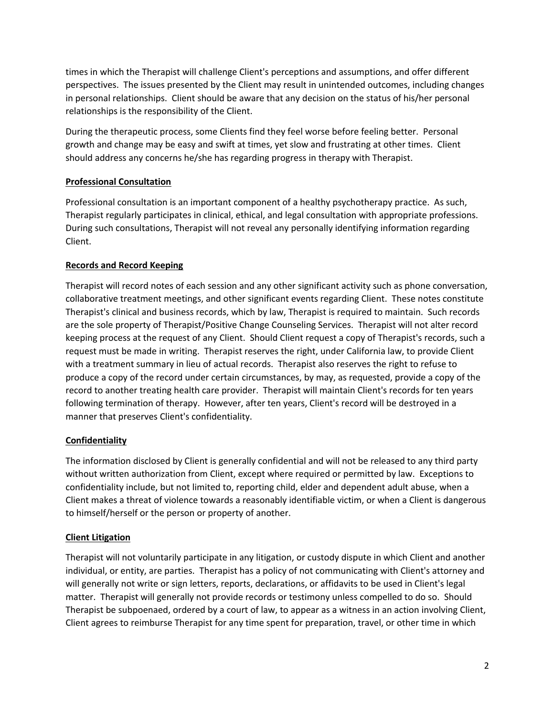times in which the Therapist will challenge Client's perceptions and assumptions, and offer different perspectives. The issues presented by the Client may result in unintended outcomes, including changes in personal relationships. Client should be aware that any decision on the status of his/her personal relationships is the responsibility of the Client.

During the therapeutic process, some Clients find they feel worse before feeling better. Personal growth and change may be easy and swift at times, yet slow and frustrating at other times. Client should address any concerns he/she has regarding progress in therapy with Therapist.

### **Professional Consultation**

Professional consultation is an important component of a healthy psychotherapy practice. As such, Therapist regularly participates in clinical, ethical, and legal consultation with appropriate professions. During such consultations, Therapist will not reveal any personally identifying information regarding Client.

## **Records and Record Keeping**

Therapist will record notes of each session and any other significant activity such as phone conversation, collaborative treatment meetings, and other significant events regarding Client. These notes constitute Therapist's clinical and business records, which by law, Therapist is required to maintain. Such records are the sole property of Therapist/Positive Change Counseling Services. Therapist will not alter record keeping process at the request of any Client. Should Client request a copy of Therapist's records, such a request must be made in writing. Therapist reserves the right, under California law, to provide Client with a treatment summary in lieu of actual records. Therapist also reserves the right to refuse to produce a copy of the record under certain circumstances, by may, as requested, provide a copy of the record to another treating health care provider. Therapist will maintain Client's records for ten years following termination of therapy. However, after ten years, Client's record will be destroyed in a manner that preserves Client's confidentiality.

## **Confidentiality**

The information disclosed by Client is generally confidential and will not be released to any third party without written authorization from Client, except where required or permitted by law. Exceptions to confidentiality include, but not limited to, reporting child, elder and dependent adult abuse, when a Client makes a threat of violence towards a reasonably identifiable victim, or when a Client is dangerous to himself/herself or the person or property of another.

### **Client Litigation**

Therapist will not voluntarily participate in any litigation, or custody dispute in which Client and another individual, or entity, are parties. Therapist has a policy of not communicating with Client's attorney and will generally not write or sign letters, reports, declarations, or affidavits to be used in Client's legal matter. Therapist will generally not provide records or testimony unless compelled to do so. Should Therapist be subpoenaed, ordered by a court of law, to appear as a witness in an action involving Client, Client agrees to reimburse Therapist for any time spent for preparation, travel, or other time in which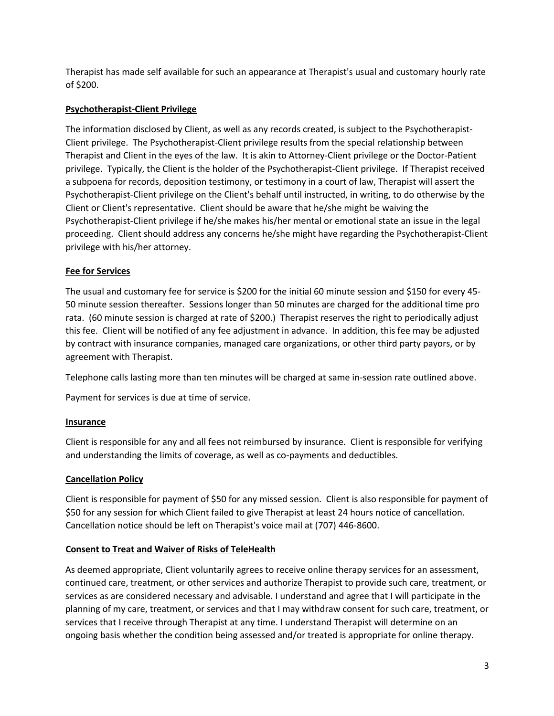Therapist has made self available for such an appearance at Therapist's usual and customary hourly rate of \$200.

## **Psychotherapist-Client Privilege**

The information disclosed by Client, as well as any records created, is subject to the Psychotherapist-Client privilege. The Psychotherapist-Client privilege results from the special relationship between Therapist and Client in the eyes of the law. It is akin to Attorney-Client privilege or the Doctor-Patient privilege. Typically, the Client is the holder of the Psychotherapist-Client privilege. If Therapist received a subpoena for records, deposition testimony, or testimony in a court of law, Therapist will assert the Psychotherapist-Client privilege on the Client's behalf until instructed, in writing, to do otherwise by the Client or Client's representative. Client should be aware that he/she might be waiving the Psychotherapist-Client privilege if he/she makes his/her mental or emotional state an issue in the legal proceeding. Client should address any concerns he/she might have regarding the Psychotherapist-Client privilege with his/her attorney.

## **Fee for Services**

The usual and customary fee for service is \$200 for the initial 60 minute session and \$150 for every 45- 50 minute session thereafter. Sessions longer than 50 minutes are charged for the additional time pro rata. (60 minute session is charged at rate of \$200.) Therapist reserves the right to periodically adjust this fee. Client will be notified of any fee adjustment in advance. In addition, this fee may be adjusted by contract with insurance companies, managed care organizations, or other third party payors, or by agreement with Therapist.

Telephone calls lasting more than ten minutes will be charged at same in-session rate outlined above.

Payment for services is due at time of service.

### **Insurance**

Client is responsible for any and all fees not reimbursed by insurance. Client is responsible for verifying and understanding the limits of coverage, as well as co-payments and deductibles.

### **Cancellation Policy**

Client is responsible for payment of \$50 for any missed session. Client is also responsible for payment of \$50 for any session for which Client failed to give Therapist at least 24 hours notice of cancellation. Cancellation notice should be left on Therapist's voice mail at (707) 446-8600.

### **Consent to Treat and Waiver of Risks of TeleHealth**

As deemed appropriate, Client voluntarily agrees to receive online therapy services for an assessment, continued care, treatment, or other services and authorize Therapist to provide such care, treatment, or services as are considered necessary and advisable. I understand and agree that I will participate in the planning of my care, treatment, or services and that I may withdraw consent for such care, treatment, or services that I receive through Therapist at any time. I understand Therapist will determine on an ongoing basis whether the condition being assessed and/or treated is appropriate for online therapy.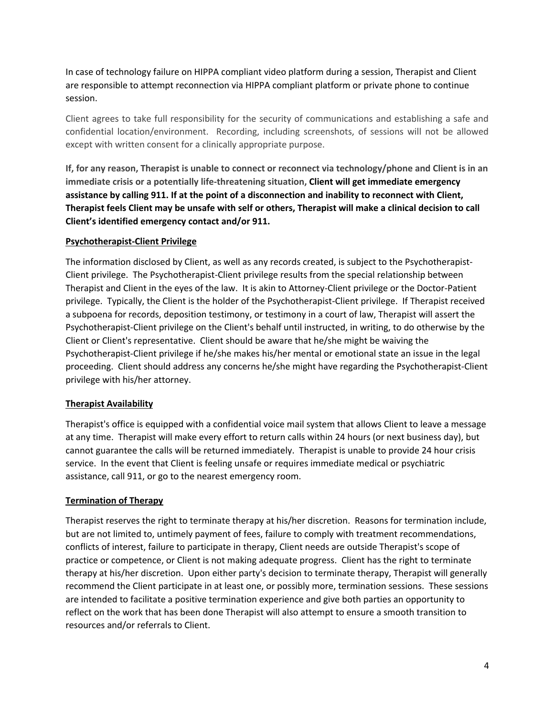In case of technology failure on HIPPA compliant video platform during a session, Therapist and Client are responsible to attempt reconnection via HIPPA compliant platform or private phone to continue session.

Client agrees to take full responsibility for the security of communications and establishing a safe and confidential location/environment. Recording, including screenshots, of sessions will not be allowed except with written consent for a clinically appropriate purpose.

**If, for any reason, Therapist is unable to connect or reconnect via technology/phone and Client is in an immediate crisis or a potentially life-threatening situation, Client will get immediate emergency assistance by calling 911. If at the point of a disconnection and inability to reconnect with Client, Therapist feels Client may be unsafe with self or others, Therapist will make a clinical decision to call Client's identified emergency contact and/or 911.**

### **Psychotherapist-Client Privilege**

The information disclosed by Client, as well as any records created, is subject to the Psychotherapist-Client privilege. The Psychotherapist-Client privilege results from the special relationship between Therapist and Client in the eyes of the law. It is akin to Attorney-Client privilege or the Doctor-Patient privilege. Typically, the Client is the holder of the Psychotherapist-Client privilege. If Therapist received a subpoena for records, deposition testimony, or testimony in a court of law, Therapist will assert the Psychotherapist-Client privilege on the Client's behalf until instructed, in writing, to do otherwise by the Client or Client's representative. Client should be aware that he/she might be waiving the Psychotherapist-Client privilege if he/she makes his/her mental or emotional state an issue in the legal proceeding. Client should address any concerns he/she might have regarding the Psychotherapist-Client privilege with his/her attorney.

#### **Therapist Availability**

Therapist's office is equipped with a confidential voice mail system that allows Client to leave a message at any time. Therapist will make every effort to return calls within 24 hours (or next business day), but cannot guarantee the calls will be returned immediately. Therapist is unable to provide 24 hour crisis service. In the event that Client is feeling unsafe or requires immediate medical or psychiatric assistance, call 911, or go to the nearest emergency room.

#### **Termination of Therapy**

Therapist reserves the right to terminate therapy at his/her discretion. Reasons for termination include, but are not limited to, untimely payment of fees, failure to comply with treatment recommendations, conflicts of interest, failure to participate in therapy, Client needs are outside Therapist's scope of practice or competence, or Client is not making adequate progress. Client has the right to terminate therapy at his/her discretion. Upon either party's decision to terminate therapy, Therapist will generally recommend the Client participate in at least one, or possibly more, termination sessions. These sessions are intended to facilitate a positive termination experience and give both parties an opportunity to reflect on the work that has been done Therapist will also attempt to ensure a smooth transition to resources and/or referrals to Client.